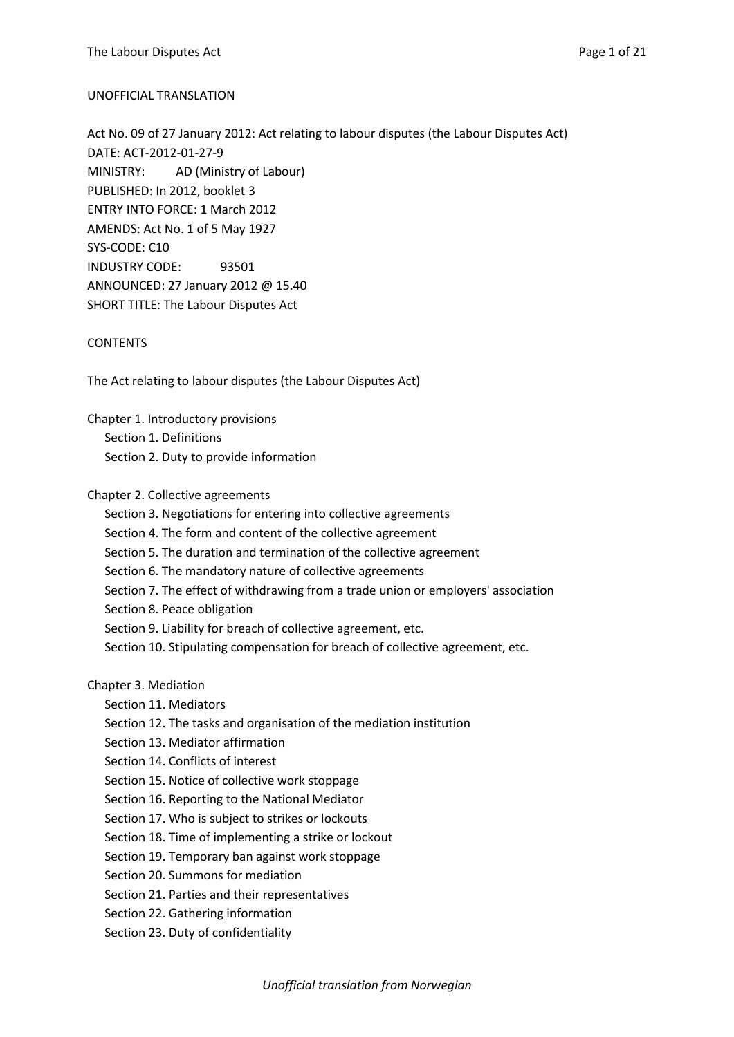#### UNOFFICIAL TRANSLATION

Act No. 09 of 27 January 2012: Act relating to labour disputes (the Labour Disputes Act) DATE: ACT-2012-01-27-9 MINISTRY: AD (Ministry of Labour) PUBLISHED: In 2012, booklet 3 ENTRY INTO FORCE: 1 March 2012 AMENDS: Act No. 1 of 5 May 1927 SYS-CODE: C10 INDUSTRY CODE: 93501 ANNOUNCED: 27 January 2012 @ 15.40 SHORT TITLE: The Labour Disputes Act

#### CONTENTS

The Act relating to labour disputes (the Labour Disputes Act)

Chapter 1. Introductory provisions Section 1. Definitions Section 2. Duty to provide information

Chapter 2. Collective agreements

Section 3. Negotiations for entering into collective agreements

Section 4. The form and content of the collective agreement

Section 5. The duration and termination of the collective agreement

Section 6. The mandatory nature of collective agreements

Section 7. The effect of withdrawing from a trade union or employers' association

Section 8. Peace obligation

Section 9. Liability for breach of collective agreement, etc.

Section 10. Stipulating compensation for breach of collective agreement, etc.

Chapter 3. Mediation

- Section 11. Mediators
- Section 12. The tasks and organisation of the mediation institution
- Section 13. Mediator affirmation
- Section 14. Conflicts of interest
- Section 15. Notice of collective work stoppage
- Section 16. Reporting to the National Mediator
- Section 17. Who is subject to strikes or lockouts
- Section 18. Time of implementing a strike or lockout
- Section 19. Temporary ban against work stoppage
- Section 20. Summons for mediation
- Section 21. Parties and their representatives
- Section 22. Gathering information
- Section 23. Duty of confidentiality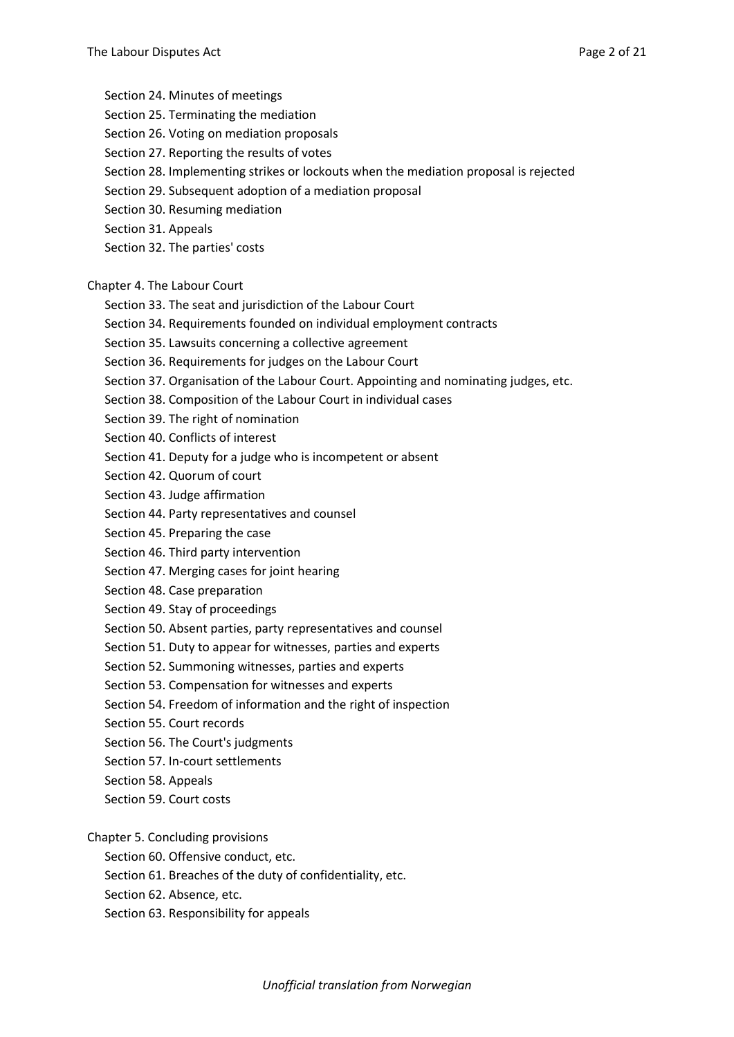Section 24. Minutes of meetings

- Section 25. Terminating the mediation
- Section 26. Voting on mediation proposals
- Section 27. Reporting the results of votes
- Section 28. Implementing strikes or lockouts when the mediation proposal is rejected
- Section 29. Subsequent adoption of a mediation proposal
- Section 30. Resuming mediation
- Section 31. Appeals
- Section 32. The parties' costs

Chapter 4. The Labour Court

- Section 33. The seat and jurisdiction of the Labour Court
- Section 34. Requirements founded on individual employment contracts
- Section 35. Lawsuits concerning a collective agreement
- Section 36. Requirements for judges on the Labour Court
- Section 37. Organisation of the Labour Court. Appointing and nominating judges, etc.
- Section 38. Composition of the Labour Court in individual cases
- Section 39. The right of nomination
- Section 40. Conflicts of interest
- Section 41. Deputy for a judge who is incompetent or absent
- Section 42. Quorum of court
- Section 43. Judge affirmation
- Section 44. Party representatives and counsel
- Section 45. Preparing the case
- Section 46. Third party intervention
- Section 47. Merging cases for joint hearing
- Section 48. Case preparation
- Section 49. Stay of proceedings
- Section 50. Absent parties, party representatives and counsel
- Section 51. Duty to appear for witnesses, parties and experts
- Section 52. Summoning witnesses, parties and experts
- Section 53. Compensation for witnesses and experts
- Section 54. Freedom of information and the right of inspection
- Section 55. Court records
- Section 56. The Court's judgments
- Section 57. In-court settlements
- Section 58. Appeals
- Section 59. Court costs
- Chapter 5. Concluding provisions
	- Section 60. Offensive conduct, etc.
	- Section 61. Breaches of the duty of confidentiality, etc.
	- Section 62. Absence, etc.
	- Section 63. Responsibility for appeals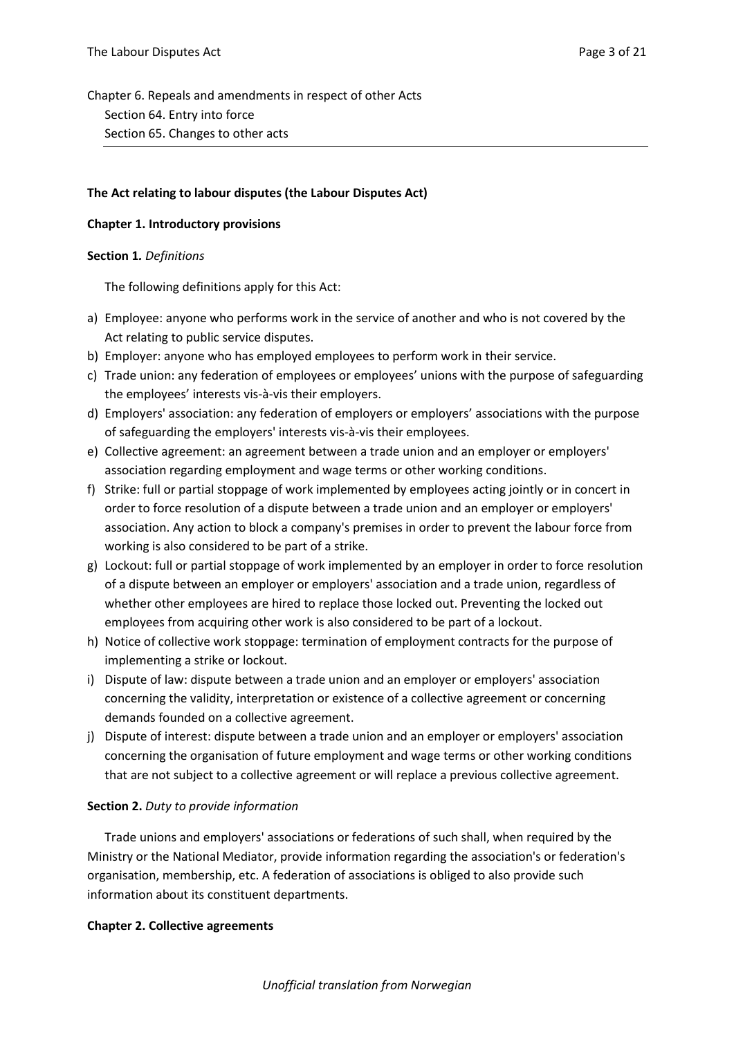Chapter 6. Repeals and amendments in respect of other Acts Section 64. Entry into force Section 65. Changes to other acts

### **The Act relating to labour disputes (the Labour Disputes Act)**

### **Chapter 1. Introductory provisions**

### **Section 1***. Definitions*

The following definitions apply for this Act:

- a) Employee: anyone who performs work in the service of another and who is not covered by the Act relating to public service disputes.
- b) Employer: anyone who has employed employees to perform work in their service.
- c) Trade union: any federation of employees or employees' unions with the purpose of safeguarding the employees' interests vis-à-vis their employers.
- d) Employers' association: any federation of employers or employers' associations with the purpose of safeguarding the employers' interests vis-à-vis their employees.
- e) Collective agreement: an agreement between a trade union and an employer or employers' association regarding employment and wage terms or other working conditions.
- f) Strike: full or partial stoppage of work implemented by employees acting jointly or in concert in order to force resolution of a dispute between a trade union and an employer or employers' association. Any action to block a company's premises in order to prevent the labour force from working is also considered to be part of a strike.
- g) Lockout: full or partial stoppage of work implemented by an employer in order to force resolution of a dispute between an employer or employers' association and a trade union, regardless of whether other employees are hired to replace those locked out. Preventing the locked out employees from acquiring other work is also considered to be part of a lockout.
- h) Notice of collective work stoppage: termination of employment contracts for the purpose of implementing a strike or lockout.
- i) Dispute of law: dispute between a trade union and an employer or employers' association concerning the validity, interpretation or existence of a collective agreement or concerning demands founded on a collective agreement.
- j) Dispute of interest: dispute between a trade union and an employer or employers' association concerning the organisation of future employment and wage terms or other working conditions that are not subject to a collective agreement or will replace a previous collective agreement.

## **Section 2.** *Duty to provide information*

Trade unions and employers' associations or federations of such shall, when required by the Ministry or the National Mediator, provide information regarding the association's or federation's organisation, membership, etc. A federation of associations is obliged to also provide such information about its constituent departments.

### **Chapter 2. Collective agreements**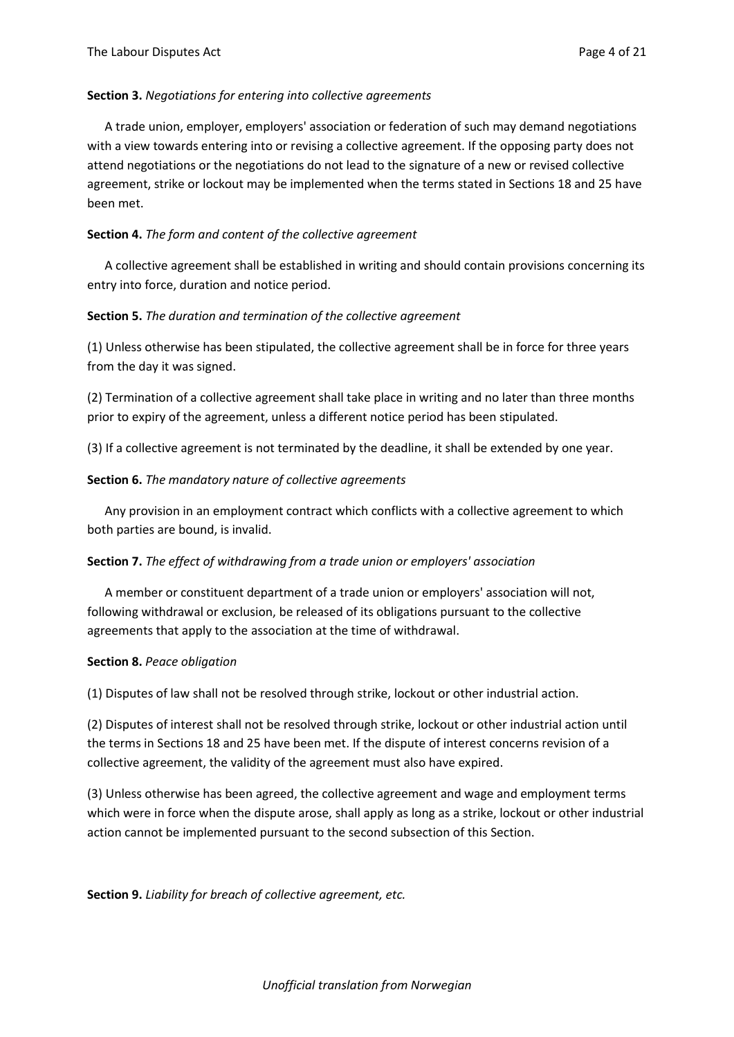#### **Section 3.** *Negotiations for entering into collective agreements*

A trade union, employer, employers' association or federation of such may demand negotiations with a view towards entering into or revising a collective agreement. If the opposing party does not attend negotiations or the negotiations do not lead to the signature of a new or revised collective agreement, strike or lockout may be implemented when the terms stated in Sections 18 and 25 have been met.

#### **Section 4.** *The form and content of the collective agreement*

A collective agreement shall be established in writing and should contain provisions concerning its entry into force, duration and notice period.

#### **Section 5.** *The duration and termination of the collective agreement*

(1) Unless otherwise has been stipulated, the collective agreement shall be in force for three years from the day it was signed.

(2) Termination of a collective agreement shall take place in writing and no later than three months prior to expiry of the agreement, unless a different notice period has been stipulated.

(3) If a collective agreement is not terminated by the deadline, it shall be extended by one year.

#### **Section 6.** *The mandatory nature of collective agreements*

Any provision in an employment contract which conflicts with a collective agreement to which both parties are bound, is invalid.

#### **Section 7.** *The effect of withdrawing from a trade union or employers' association*

A member or constituent department of a trade union or employers' association will not, following withdrawal or exclusion, be released of its obligations pursuant to the collective agreements that apply to the association at the time of withdrawal.

#### **Section 8.** *Peace obligation*

(1) Disputes of law shall not be resolved through strike, lockout or other industrial action.

(2) Disputes of interest shall not be resolved through strike, lockout or other industrial action until the terms in Sections 18 and 25 have been met. If the dispute of interest concerns revision of a collective agreement, the validity of the agreement must also have expired.

(3) Unless otherwise has been agreed, the collective agreement and wage and employment terms which were in force when the dispute arose, shall apply as long as a strike, lockout or other industrial action cannot be implemented pursuant to the second subsection of this Section.

**Section 9.** *Liability for breach of collective agreement, etc.*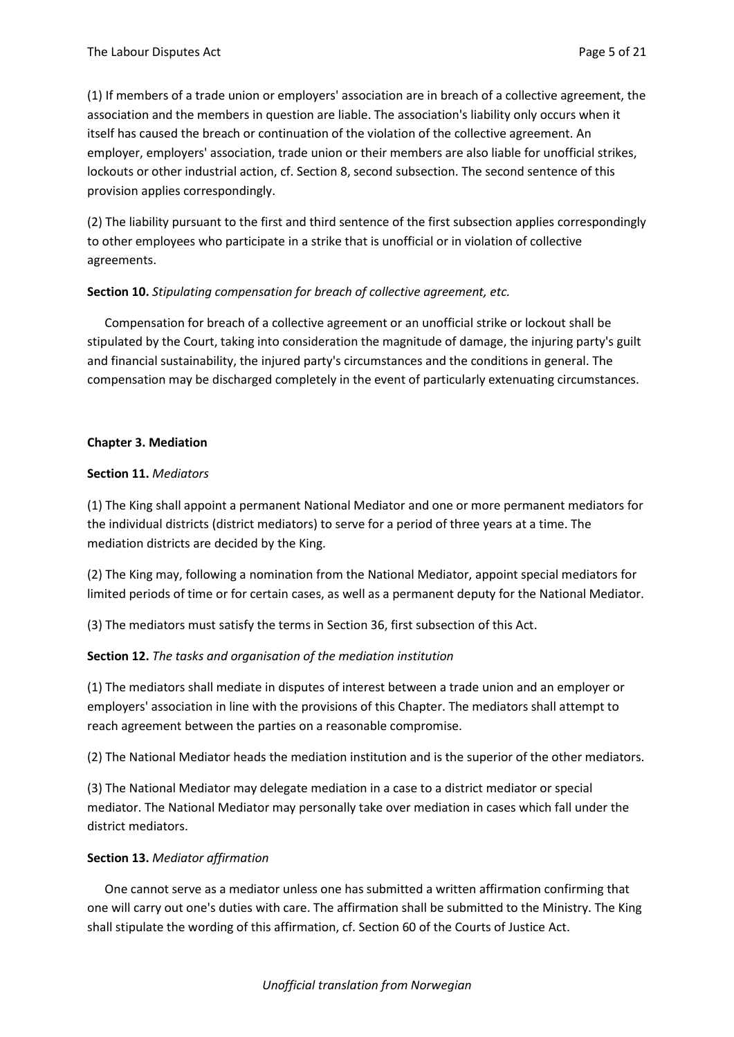(1) If members of a trade union or employers' association are in breach of a collective agreement, the association and the members in question are liable. The association's liability only occurs when it itself has caused the breach or continuation of the violation of the collective agreement. An employer, employers' association, trade union or their members are also liable for unofficial strikes, lockouts or other industrial action, cf. Section 8, second subsection. The second sentence of this provision applies correspondingly.

(2) The liability pursuant to the first and third sentence of the first subsection applies correspondingly to other employees who participate in a strike that is unofficial or in violation of collective agreements.

### **Section 10.** *Stipulating compensation for breach of collective agreement, etc.*

Compensation for breach of a collective agreement or an unofficial strike or lockout shall be stipulated by the Court, taking into consideration the magnitude of damage, the injuring party's guilt and financial sustainability, the injured party's circumstances and the conditions in general. The compensation may be discharged completely in the event of particularly extenuating circumstances.

### **Chapter 3. Mediation**

### **Section 11.** *Mediators*

(1) The King shall appoint a permanent National Mediator and one or more permanent mediators for the individual districts (district mediators) to serve for a period of three years at a time. The mediation districts are decided by the King.

(2) The King may, following a nomination from the National Mediator, appoint special mediators for limited periods of time or for certain cases, as well as a permanent deputy for the National Mediator.

(3) The mediators must satisfy the terms in Section 36, first subsection of this Act.

### **Section 12.** *The tasks and organisation of the mediation institution*

(1) The mediators shall mediate in disputes of interest between a trade union and an employer or employers' association in line with the provisions of this Chapter. The mediators shall attempt to reach agreement between the parties on a reasonable compromise.

(2) The National Mediator heads the mediation institution and is the superior of the other mediators.

(3) The National Mediator may delegate mediation in a case to a district mediator or special mediator. The National Mediator may personally take over mediation in cases which fall under the district mediators.

### **Section 13.** *Mediator affirmation*

One cannot serve as a mediator unless one has submitted a written affirmation confirming that one will carry out one's duties with care. The affirmation shall be submitted to the Ministry. The King shall stipulate the wording of this affirmation, cf. Section 60 of the Courts of Justice Act.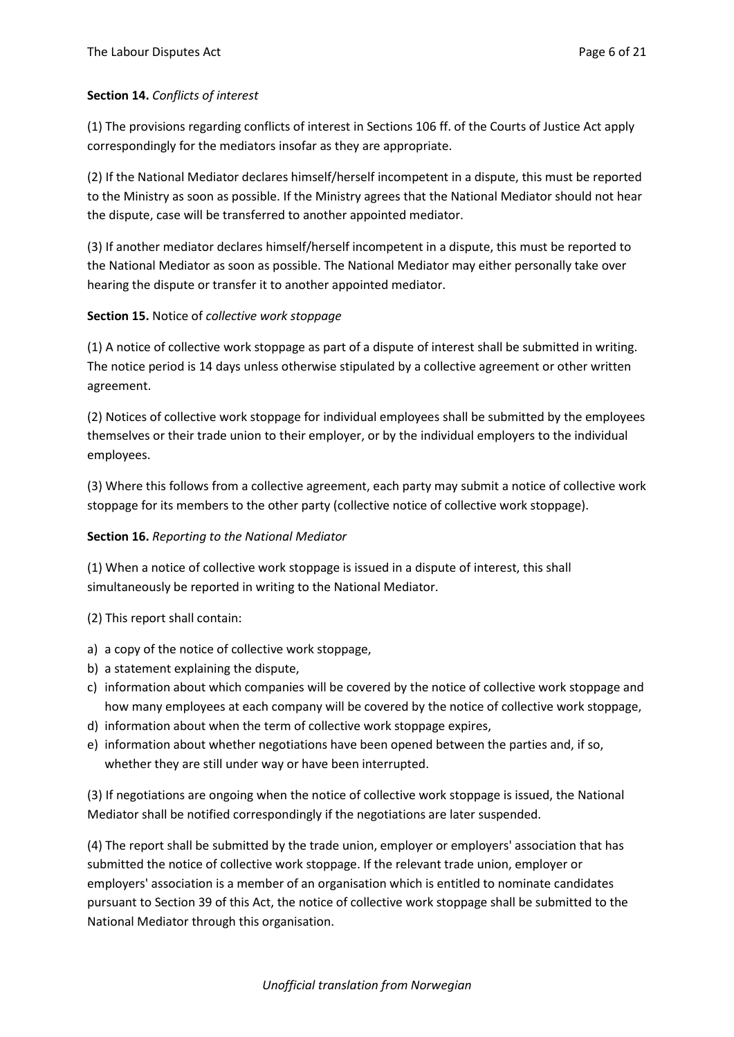## **Section 14.** *Conflicts of interest*

(1) The provisions regarding conflicts of interest in Sections 106 ff. of the Courts of Justice Act apply correspondingly for the mediators insofar as they are appropriate.

(2) If the National Mediator declares himself/herself incompetent in a dispute, this must be reported to the Ministry as soon as possible. If the Ministry agrees that the National Mediator should not hear the dispute, case will be transferred to another appointed mediator.

(3) If another mediator declares himself/herself incompetent in a dispute, this must be reported to the National Mediator as soon as possible. The National Mediator may either personally take over hearing the dispute or transfer it to another appointed mediator.

## **Section 15.** Notice of *collective work stoppage*

(1) A notice of collective work stoppage as part of a dispute of interest shall be submitted in writing. The notice period is 14 days unless otherwise stipulated by a collective agreement or other written agreement.

(2) Notices of collective work stoppage for individual employees shall be submitted by the employees themselves or their trade union to their employer, or by the individual employers to the individual employees.

(3) Where this follows from a collective agreement, each party may submit a notice of collective work stoppage for its members to the other party (collective notice of collective work stoppage).

### **Section 16.** *Reporting to the National Mediator*

(1) When a notice of collective work stoppage is issued in a dispute of interest, this shall simultaneously be reported in writing to the National Mediator.

(2) This report shall contain:

- a) a copy of the notice of collective work stoppage,
- b) a statement explaining the dispute,
- c) information about which companies will be covered by the notice of collective work stoppage and how many employees at each company will be covered by the notice of collective work stoppage,
- d) information about when the term of collective work stoppage expires,
- e) information about whether negotiations have been opened between the parties and, if so, whether they are still under way or have been interrupted.

(3) If negotiations are ongoing when the notice of collective work stoppage is issued, the National Mediator shall be notified correspondingly if the negotiations are later suspended.

(4) The report shall be submitted by the trade union, employer or employers' association that has submitted the notice of collective work stoppage. If the relevant trade union, employer or employers' association is a member of an organisation which is entitled to nominate candidates pursuant to Section 39 of this Act, the notice of collective work stoppage shall be submitted to the National Mediator through this organisation.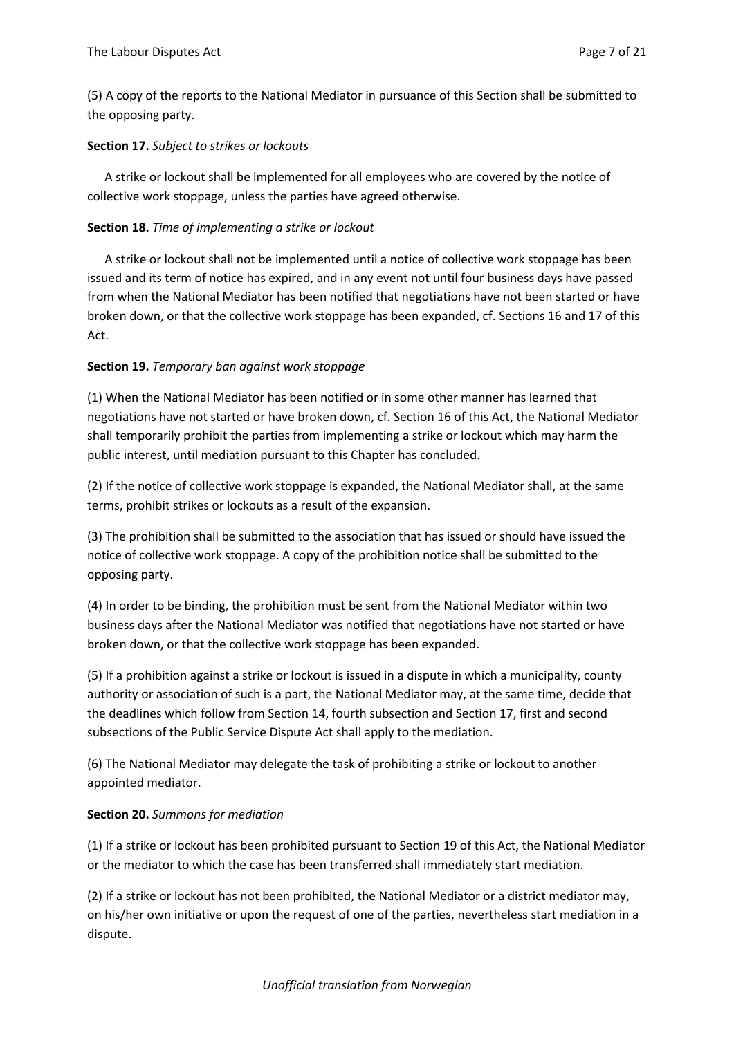(5) A copy of the reports to the National Mediator in pursuance of this Section shall be submitted to the opposing party.

## **Section 17.** *Subject to strikes or lockouts*

A strike or lockout shall be implemented for all employees who are covered by the notice of collective work stoppage, unless the parties have agreed otherwise.

## **Section 18.** *Time of implementing a strike or lockout*

A strike or lockout shall not be implemented until a notice of collective work stoppage has been issued and its term of notice has expired, and in any event not until four business days have passed from when the National Mediator has been notified that negotiations have not been started or have broken down, or that the collective work stoppage has been expanded, cf. Sections 16 and 17 of this Act.

## **Section 19.** *Temporary ban against work stoppage*

(1) When the National Mediator has been notified or in some other manner has learned that negotiations have not started or have broken down, cf. Section 16 of this Act, the National Mediator shall temporarily prohibit the parties from implementing a strike or lockout which may harm the public interest, until mediation pursuant to this Chapter has concluded.

(2) If the notice of collective work stoppage is expanded, the National Mediator shall, at the same terms, prohibit strikes or lockouts as a result of the expansion.

(3) The prohibition shall be submitted to the association that has issued or should have issued the notice of collective work stoppage. A copy of the prohibition notice shall be submitted to the opposing party.

(4) In order to be binding, the prohibition must be sent from the National Mediator within two business days after the National Mediator was notified that negotiations have not started or have broken down, or that the collective work stoppage has been expanded.

(5) If a prohibition against a strike or lockout is issued in a dispute in which a municipality, county authority or association of such is a part, the National Mediator may, at the same time, decide that the deadlines which follow from Section 14, fourth subsection and Section 17, first and second subsections of the Public Service Dispute Act shall apply to the mediation.

(6) The National Mediator may delegate the task of prohibiting a strike or lockout to another appointed mediator.

## **Section 20.** *Summons for mediation*

(1) If a strike or lockout has been prohibited pursuant to Section 19 of this Act, the National Mediator or the mediator to which the case has been transferred shall immediately start mediation.

(2) If a strike or lockout has not been prohibited, the National Mediator or a district mediator may, on his/her own initiative or upon the request of one of the parties, nevertheless start mediation in a dispute.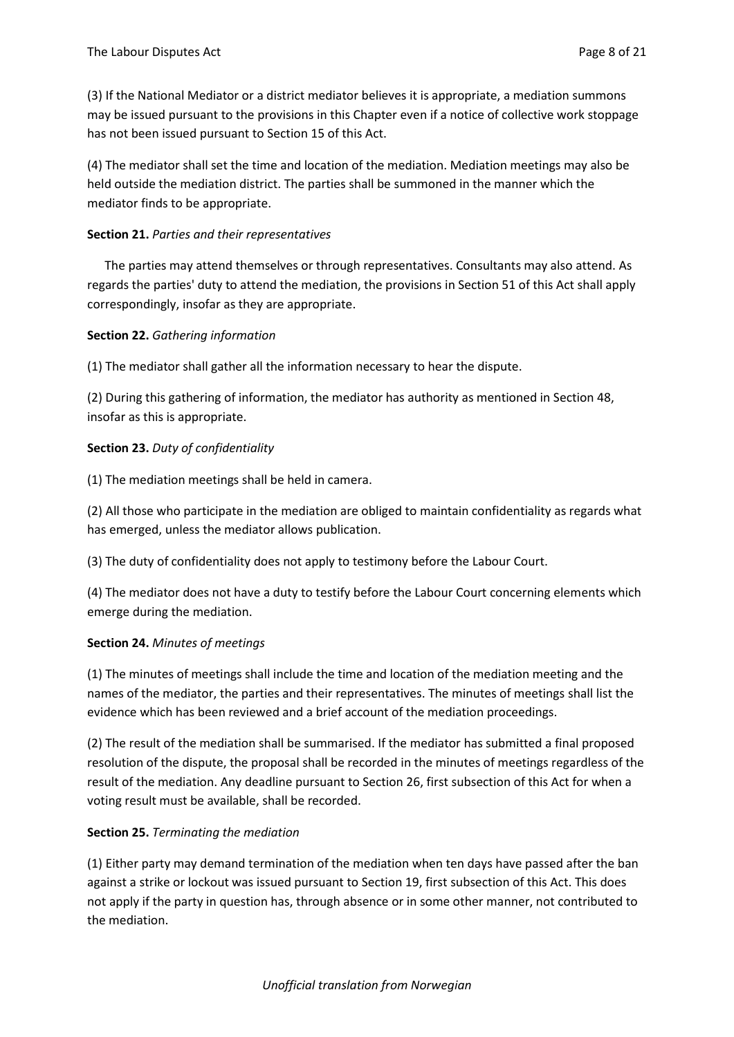(3) If the National Mediator or a district mediator believes it is appropriate, a mediation summons may be issued pursuant to the provisions in this Chapter even if a notice of collective work stoppage has not been issued pursuant to Section 15 of this Act.

(4) The mediator shall set the time and location of the mediation. Mediation meetings may also be held outside the mediation district. The parties shall be summoned in the manner which the mediator finds to be appropriate.

### **Section 21.** *Parties and their representatives*

The parties may attend themselves or through representatives. Consultants may also attend. As regards the parties' duty to attend the mediation, the provisions in Section 51 of this Act shall apply correspondingly, insofar as they are appropriate.

## **Section 22.** *Gathering information*

(1) The mediator shall gather all the information necessary to hear the dispute.

(2) During this gathering of information, the mediator has authority as mentioned in Section 48, insofar as this is appropriate.

## **Section 23.** *Duty of confidentiality*

(1) The mediation meetings shall be held in camera.

(2) All those who participate in the mediation are obliged to maintain confidentiality as regards what has emerged, unless the mediator allows publication.

(3) The duty of confidentiality does not apply to testimony before the Labour Court.

(4) The mediator does not have a duty to testify before the Labour Court concerning elements which emerge during the mediation.

### **Section 24.** *Minutes of meetings*

(1) The minutes of meetings shall include the time and location of the mediation meeting and the names of the mediator, the parties and their representatives. The minutes of meetings shall list the evidence which has been reviewed and a brief account of the mediation proceedings.

(2) The result of the mediation shall be summarised. If the mediator has submitted a final proposed resolution of the dispute, the proposal shall be recorded in the minutes of meetings regardless of the result of the mediation. Any deadline pursuant to Section 26, first subsection of this Act for when a voting result must be available, shall be recorded.

### **Section 25.** *Terminating the mediation*

(1) Either party may demand termination of the mediation when ten days have passed after the ban against a strike or lockout was issued pursuant to Section 19, first subsection of this Act. This does not apply if the party in question has, through absence or in some other manner, not contributed to the mediation.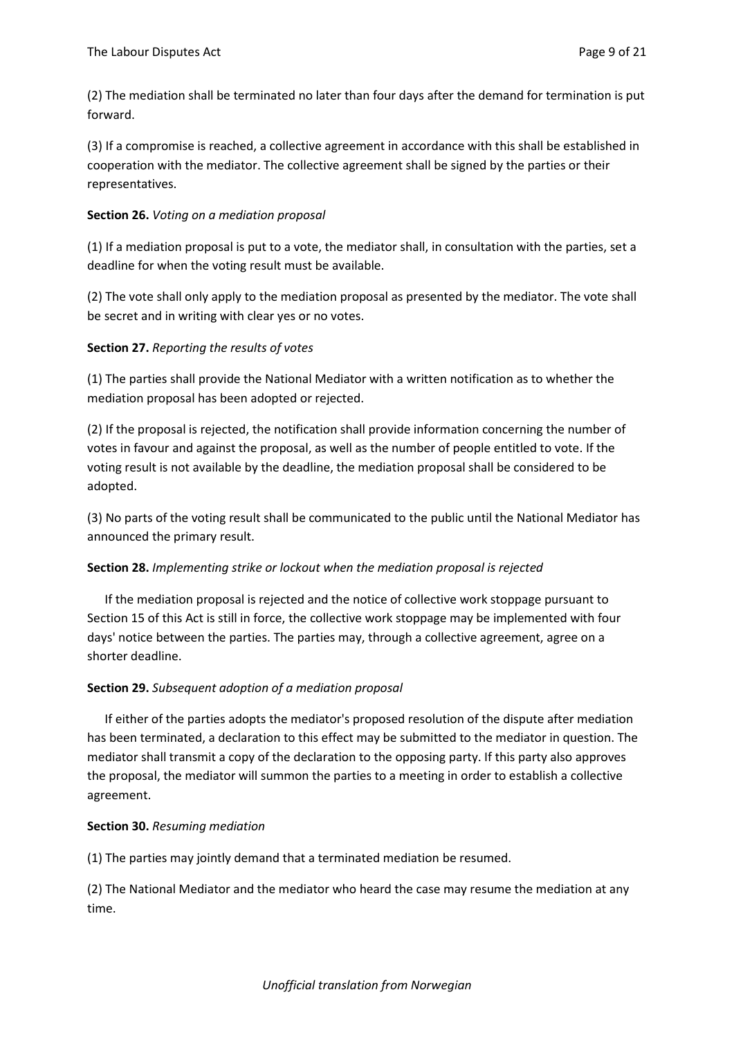(2) The mediation shall be terminated no later than four days after the demand for termination is put forward.

(3) If a compromise is reached, a collective agreement in accordance with this shall be established in cooperation with the mediator. The collective agreement shall be signed by the parties or their representatives.

## **Section 26.** *Voting on a mediation proposal*

(1) If a mediation proposal is put to a vote, the mediator shall, in consultation with the parties, set a deadline for when the voting result must be available.

(2) The vote shall only apply to the mediation proposal as presented by the mediator. The vote shall be secret and in writing with clear yes or no votes.

## **Section 27.** *Reporting the results of votes*

(1) The parties shall provide the National Mediator with a written notification as to whether the mediation proposal has been adopted or rejected.

(2) If the proposal is rejected, the notification shall provide information concerning the number of votes in favour and against the proposal, as well as the number of people entitled to vote. If the voting result is not available by the deadline, the mediation proposal shall be considered to be adopted.

(3) No parts of the voting result shall be communicated to the public until the National Mediator has announced the primary result.

### **Section 28.** *Implementing strike or lockout when the mediation proposal is rejected*

If the mediation proposal is rejected and the notice of collective work stoppage pursuant to Section 15 of this Act is still in force, the collective work stoppage may be implemented with four days' notice between the parties. The parties may, through a collective agreement, agree on a shorter deadline.

## **Section 29.** *Subsequent adoption of a mediation proposal*

If either of the parties adopts the mediator's proposed resolution of the dispute after mediation has been terminated, a declaration to this effect may be submitted to the mediator in question. The mediator shall transmit a copy of the declaration to the opposing party. If this party also approves the proposal, the mediator will summon the parties to a meeting in order to establish a collective agreement.

### **Section 30.** *Resuming mediation*

(1) The parties may jointly demand that a terminated mediation be resumed.

(2) The National Mediator and the mediator who heard the case may resume the mediation at any time.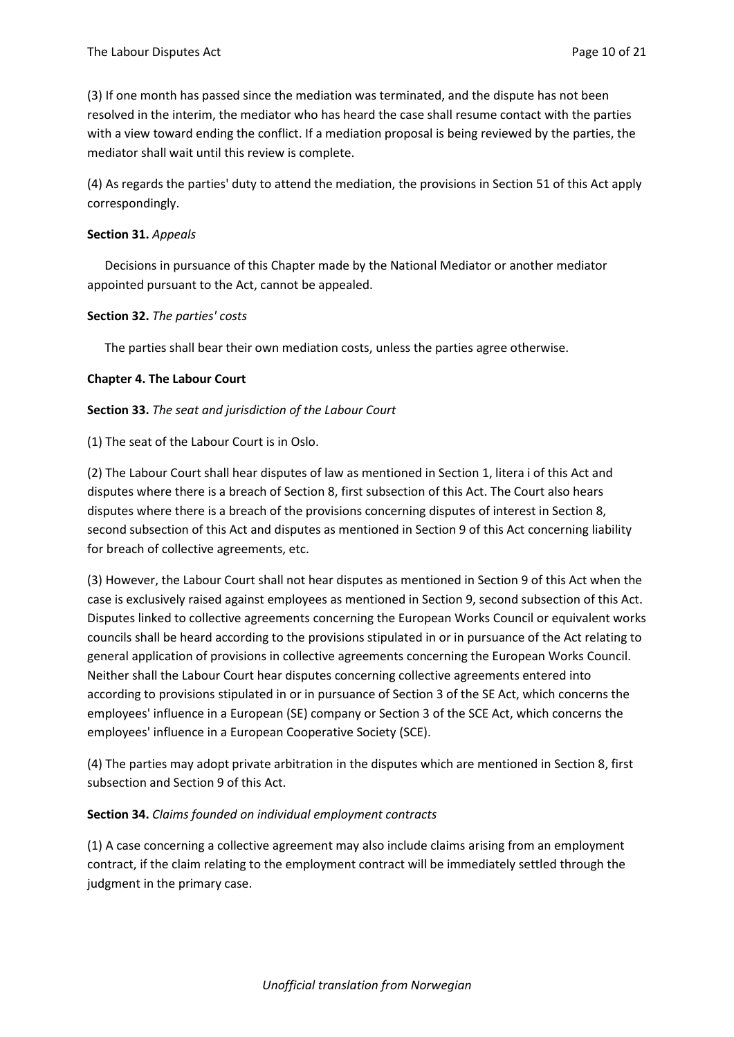(3) If one month has passed since the mediation was terminated, and the dispute has not been resolved in the interim, the mediator who has heard the case shall resume contact with the parties with a view toward ending the conflict. If a mediation proposal is being reviewed by the parties, the mediator shall wait until this review is complete.

(4) As regards the parties' duty to attend the mediation, the provisions in Section 51 of this Act apply correspondingly.

#### **Section 31.** *Appeals*

Decisions in pursuance of this Chapter made by the National Mediator or another mediator appointed pursuant to the Act, cannot be appealed.

#### **Section 32.** *The parties' costs*

The parties shall bear their own mediation costs, unless the parties agree otherwise.

### **Chapter 4. The Labour Court**

#### **Section 33.** *The seat and jurisdiction of the Labour Court*

(1) The seat of the Labour Court is in Oslo.

(2) The Labour Court shall hear disputes of law as mentioned in Section 1, litera i of this Act and disputes where there is a breach of Section 8, first subsection of this Act. The Court also hears disputes where there is a breach of the provisions concerning disputes of interest in Section 8, second subsection of this Act and disputes as mentioned in Section 9 of this Act concerning liability for breach of collective agreements, etc.

(3) However, the Labour Court shall not hear disputes as mentioned in Section 9 of this Act when the case is exclusively raised against employees as mentioned in Section 9, second subsection of this Act. Disputes linked to collective agreements concerning the European Works Council or equivalent works councils shall be heard according to the provisions stipulated in or in pursuance of the Act relating to general application of provisions in collective agreements concerning the European Works Council. Neither shall the Labour Court hear disputes concerning collective agreements entered into according to provisions stipulated in or in pursuance of Section 3 of the SE Act, which concerns the employees' influence in a European (SE) company or Section 3 of the SCE Act, which concerns the employees' influence in a European Cooperative Society (SCE).

(4) The parties may adopt private arbitration in the disputes which are mentioned in Section 8, first subsection and Section 9 of this Act.

### **Section 34.** *Claims founded on individual employment contracts*

(1) A case concerning a collective agreement may also include claims arising from an employment contract, if the claim relating to the employment contract will be immediately settled through the judgment in the primary case.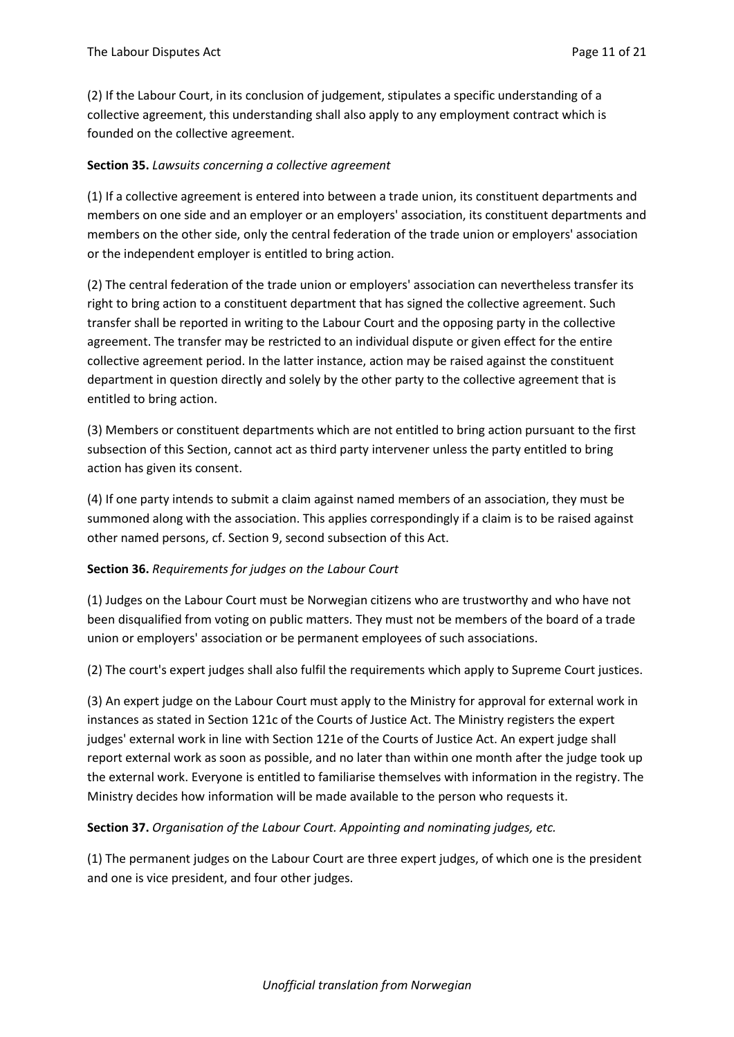(2) If the Labour Court, in its conclusion of judgement, stipulates a specific understanding of a collective agreement, this understanding shall also apply to any employment contract which is founded on the collective agreement.

### **Section 35.** *Lawsuits concerning a collective agreement*

(1) If a collective agreement is entered into between a trade union, its constituent departments and members on one side and an employer or an employers' association, its constituent departments and members on the other side, only the central federation of the trade union or employers' association or the independent employer is entitled to bring action.

(2) The central federation of the trade union or employers' association can nevertheless transfer its right to bring action to a constituent department that has signed the collective agreement. Such transfer shall be reported in writing to the Labour Court and the opposing party in the collective agreement. The transfer may be restricted to an individual dispute or given effect for the entire collective agreement period. In the latter instance, action may be raised against the constituent department in question directly and solely by the other party to the collective agreement that is entitled to bring action.

(3) Members or constituent departments which are not entitled to bring action pursuant to the first subsection of this Section, cannot act as third party intervener unless the party entitled to bring action has given its consent.

(4) If one party intends to submit a claim against named members of an association, they must be summoned along with the association. This applies correspondingly if a claim is to be raised against other named persons, cf. Section 9, second subsection of this Act.

### **Section 36.** *Requirements for judges on the Labour Court*

(1) Judges on the Labour Court must be Norwegian citizens who are trustworthy and who have not been disqualified from voting on public matters. They must not be members of the board of a trade union or employers' association or be permanent employees of such associations.

(2) The court's expert judges shall also fulfil the requirements which apply to Supreme Court justices.

(3) An expert judge on the Labour Court must apply to the Ministry for approval for external work in instances as stated in Section 121c of the Courts of Justice Act. The Ministry registers the expert judges' external work in line with Section 121e of the Courts of Justice Act. An expert judge shall report external work as soon as possible, and no later than within one month after the judge took up the external work. Everyone is entitled to familiarise themselves with information in the registry. The Ministry decides how information will be made available to the person who requests it.

### **Section 37.** *Organisation of the Labour Court. Appointing and nominating judges, etc.*

(1) The permanent judges on the Labour Court are three expert judges, of which one is the president and one is vice president, and four other judges.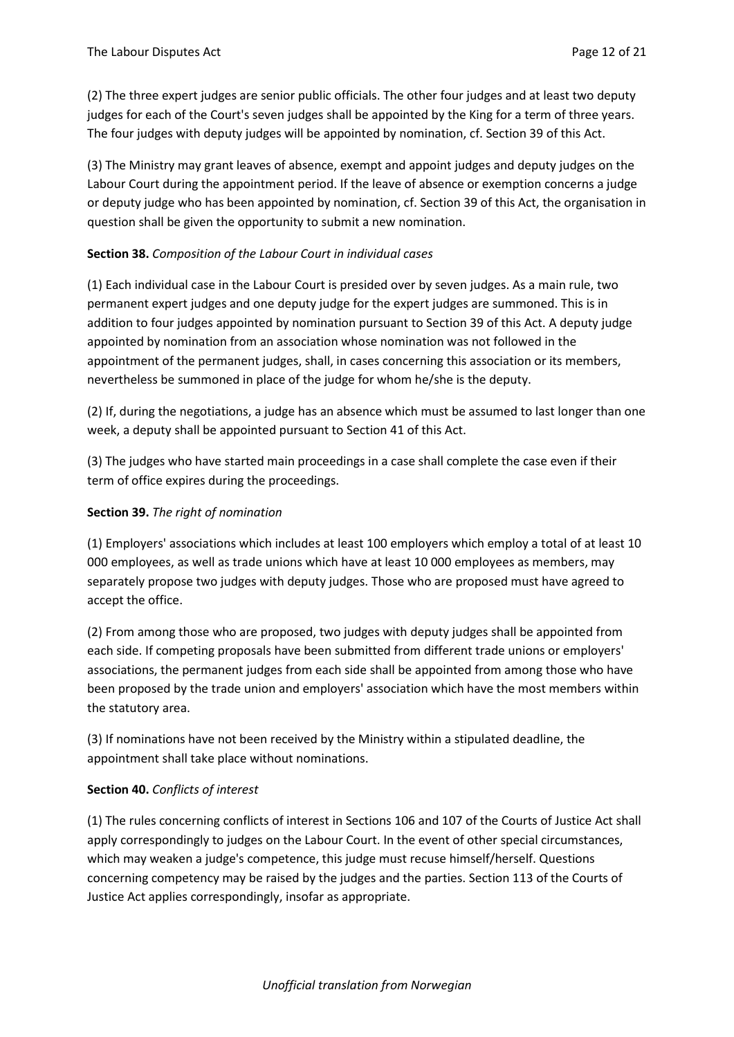(2) The three expert judges are senior public officials. The other four judges and at least two deputy judges for each of the Court's seven judges shall be appointed by the King for a term of three years. The four judges with deputy judges will be appointed by nomination, cf. Section 39 of this Act.

(3) The Ministry may grant leaves of absence, exempt and appoint judges and deputy judges on the Labour Court during the appointment period. If the leave of absence or exemption concerns a judge or deputy judge who has been appointed by nomination, cf. Section 39 of this Act, the organisation in question shall be given the opportunity to submit a new nomination.

## **Section 38.** *Composition of the Labour Court in individual cases*

(1) Each individual case in the Labour Court is presided over by seven judges. As a main rule, two permanent expert judges and one deputy judge for the expert judges are summoned. This is in addition to four judges appointed by nomination pursuant to Section 39 of this Act. A deputy judge appointed by nomination from an association whose nomination was not followed in the appointment of the permanent judges, shall, in cases concerning this association or its members, nevertheless be summoned in place of the judge for whom he/she is the deputy.

(2) If, during the negotiations, a judge has an absence which must be assumed to last longer than one week, a deputy shall be appointed pursuant to Section 41 of this Act.

(3) The judges who have started main proceedings in a case shall complete the case even if their term of office expires during the proceedings.

### **Section 39.** *The right of nomination*

(1) Employers' associations which includes at least 100 employers which employ a total of at least 10 000 employees, as well as trade unions which have at least 10 000 employees as members, may separately propose two judges with deputy judges. Those who are proposed must have agreed to accept the office.

(2) From among those who are proposed, two judges with deputy judges shall be appointed from each side. If competing proposals have been submitted from different trade unions or employers' associations, the permanent judges from each side shall be appointed from among those who have been proposed by the trade union and employers' association which have the most members within the statutory area.

(3) If nominations have not been received by the Ministry within a stipulated deadline, the appointment shall take place without nominations.

### **Section 40.** *Conflicts of interest*

(1) The rules concerning conflicts of interest in Sections 106 and 107 of the Courts of Justice Act shall apply correspondingly to judges on the Labour Court. In the event of other special circumstances, which may weaken a judge's competence, this judge must recuse himself/herself. Questions concerning competency may be raised by the judges and the parties. Section 113 of the Courts of Justice Act applies correspondingly, insofar as appropriate.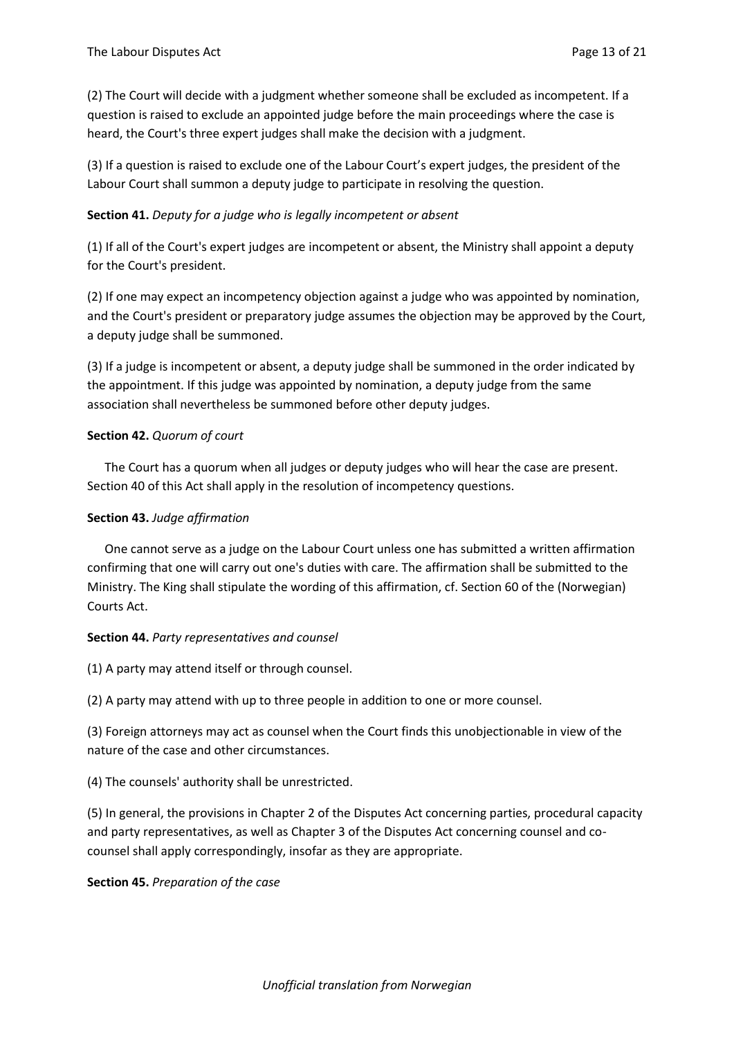(2) The Court will decide with a judgment whether someone shall be excluded as incompetent. If a question is raised to exclude an appointed judge before the main proceedings where the case is heard, the Court's three expert judges shall make the decision with a judgment.

(3) If a question is raised to exclude one of the Labour Court's expert judges, the president of the Labour Court shall summon a deputy judge to participate in resolving the question.

### **Section 41.** *Deputy for a judge who is legally incompetent or absent*

(1) If all of the Court's expert judges are incompetent or absent, the Ministry shall appoint a deputy for the Court's president.

(2) If one may expect an incompetency objection against a judge who was appointed by nomination, and the Court's president or preparatory judge assumes the objection may be approved by the Court, a deputy judge shall be summoned.

(3) If a judge is incompetent or absent, a deputy judge shall be summoned in the order indicated by the appointment. If this judge was appointed by nomination, a deputy judge from the same association shall nevertheless be summoned before other deputy judges.

### **Section 42.** *Quorum of court*

The Court has a quorum when all judges or deputy judges who will hear the case are present. Section 40 of this Act shall apply in the resolution of incompetency questions.

### **Section 43.** *Judge affirmation*

One cannot serve as a judge on the Labour Court unless one has submitted a written affirmation confirming that one will carry out one's duties with care. The affirmation shall be submitted to the Ministry. The King shall stipulate the wording of this affirmation, cf. Section 60 of the (Norwegian) Courts Act.

### **Section 44.** *Party representatives and counsel*

(1) A party may attend itself or through counsel.

(2) A party may attend with up to three people in addition to one or more counsel.

(3) Foreign attorneys may act as counsel when the Court finds this unobjectionable in view of the nature of the case and other circumstances.

(4) The counsels' authority shall be unrestricted.

(5) In general, the provisions in Chapter 2 of the Disputes Act concerning parties, procedural capacity and party representatives, as well as Chapter 3 of the Disputes Act concerning counsel and cocounsel shall apply correspondingly, insofar as they are appropriate.

**Section 45.** *Preparation of the case*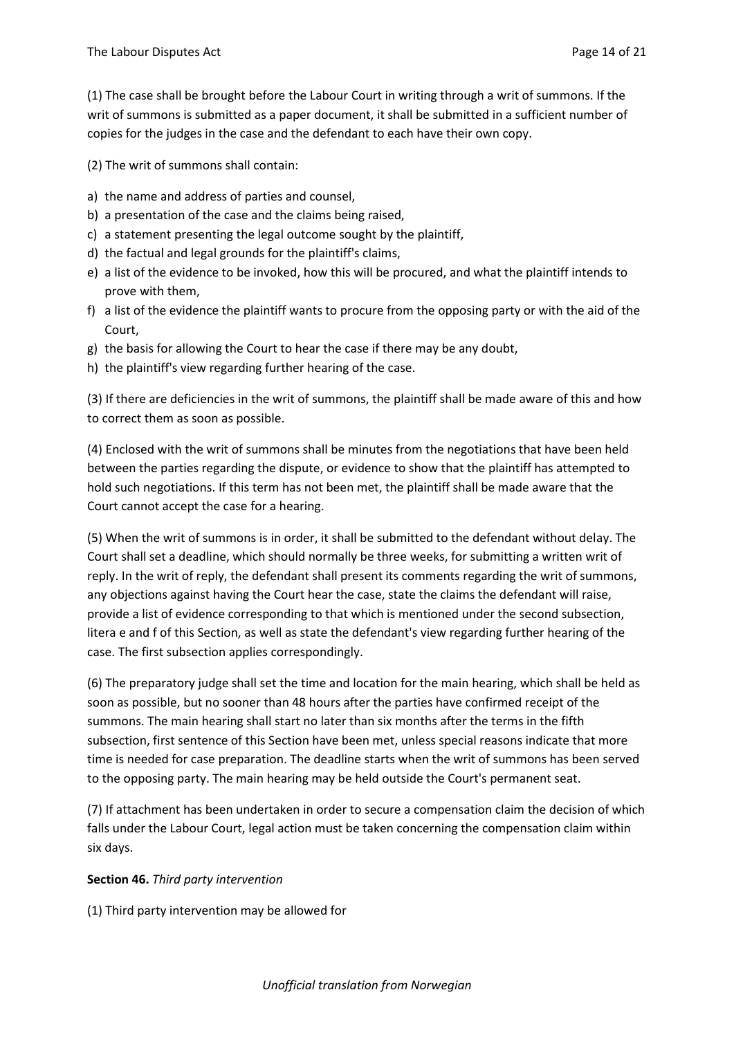(1) The case shall be brought before the Labour Court in writing through a writ of summons. If the writ of summons is submitted as a paper document, it shall be submitted in a sufficient number of copies for the judges in the case and the defendant to each have their own copy.

(2) The writ of summons shall contain:

- a) the name and address of parties and counsel,
- b) a presentation of the case and the claims being raised,
- c) a statement presenting the legal outcome sought by the plaintiff,
- d) the factual and legal grounds for the plaintiff's claims,
- e) a list of the evidence to be invoked, how this will be procured, and what the plaintiff intends to prove with them,
- f) a list of the evidence the plaintiff wants to procure from the opposing party or with the aid of the Court,
- g) the basis for allowing the Court to hear the case if there may be any doubt,
- h) the plaintiff's view regarding further hearing of the case.

(3) If there are deficiencies in the writ of summons, the plaintiff shall be made aware of this and how to correct them as soon as possible.

(4) Enclosed with the writ of summons shall be minutes from the negotiations that have been held between the parties regarding the dispute, or evidence to show that the plaintiff has attempted to hold such negotiations. If this term has not been met, the plaintiff shall be made aware that the Court cannot accept the case for a hearing.

(5) When the writ of summons is in order, it shall be submitted to the defendant without delay. The Court shall set a deadline, which should normally be three weeks, for submitting a written writ of reply. In the writ of reply, the defendant shall present its comments regarding the writ of summons, any objections against having the Court hear the case, state the claims the defendant will raise, provide a list of evidence corresponding to that which is mentioned under the second subsection, litera e and f of this Section, as well as state the defendant's view regarding further hearing of the case. The first subsection applies correspondingly.

(6) The preparatory judge shall set the time and location for the main hearing, which shall be held as soon as possible, but no sooner than 48 hours after the parties have confirmed receipt of the summons. The main hearing shall start no later than six months after the terms in the fifth subsection, first sentence of this Section have been met, unless special reasons indicate that more time is needed for case preparation. The deadline starts when the writ of summons has been served to the opposing party. The main hearing may be held outside the Court's permanent seat.

(7) If attachment has been undertaken in order to secure a compensation claim the decision of which falls under the Labour Court, legal action must be taken concerning the compensation claim within six days.

### **Section 46.** *Third party intervention*

(1) Third party intervention may be allowed for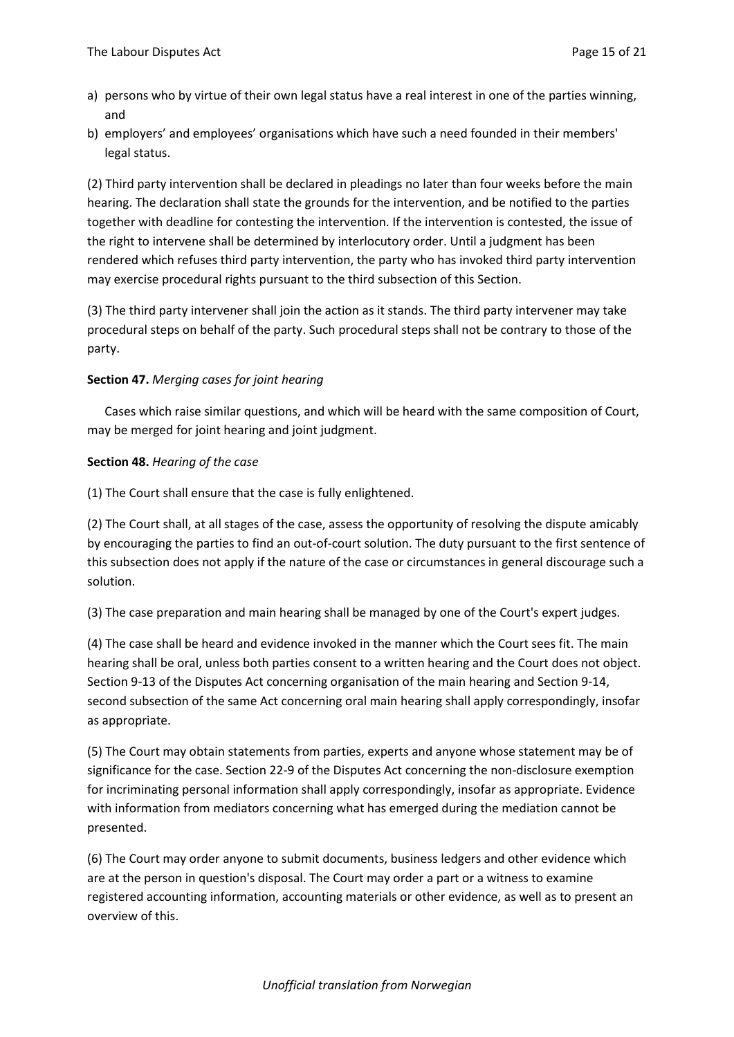- a) persons who by virtue of their own legal status have a real interest in one of the parties winning, and
- b) employers' and employees' organisations which have such a need founded in their members' legal status.

(2) Third party intervention shall be declared in pleadings no later than four weeks before the main hearing. The declaration shall state the grounds for the intervention, and be notified to the parties together with deadline for contesting the intervention. If the intervention is contested, the issue of the right to intervene shall be determined by interlocutory order. Until a judgment has been rendered which refuses third party intervention, the party who has invoked third party intervention may exercise procedural rights pursuant to the third subsection of this Section.

(3) The third party intervener shall join the action as it stands. The third party intervener may take procedural steps on behalf of the party. Such procedural steps shall not be contrary to those of the party.

## **Section 47.** *Merging cases for joint hearing*

Cases which raise similar questions, and which will be heard with the same composition of Court, may be merged for joint hearing and joint judgment.

## **Section 48.** *Hearing of the case*

(1) The Court shall ensure that the case is fully enlightened.

(2) The Court shall, at all stages of the case, assess the opportunity of resolving the dispute amicably by encouraging the parties to find an out-of-court solution. The duty pursuant to the first sentence of this subsection does not apply if the nature of the case or circumstances in general discourage such a solution.

(3) The case preparation and main hearing shall be managed by one of the Court's expert judges.

(4) The case shall be heard and evidence invoked in the manner which the Court sees fit. The main hearing shall be oral, unless both parties consent to a written hearing and the Court does not object. Section 9-13 of the Disputes Act concerning organisation of the main hearing and Section 9-14, second subsection of the same Act concerning oral main hearing shall apply correspondingly, insofar as appropriate.

(5) The Court may obtain statements from parties, experts and anyone whose statement may be of significance for the case. Section 22-9 of the Disputes Act concerning the non-disclosure exemption for incriminating personal information shall apply correspondingly, insofar as appropriate. Evidence with information from mediators concerning what has emerged during the mediation cannot be presented.

(6) The Court may order anyone to submit documents, business ledgers and other evidence which are at the person in question's disposal. The Court may order a part or a witness to examine registered accounting information, accounting materials or other evidence, as well as to present an overview of this.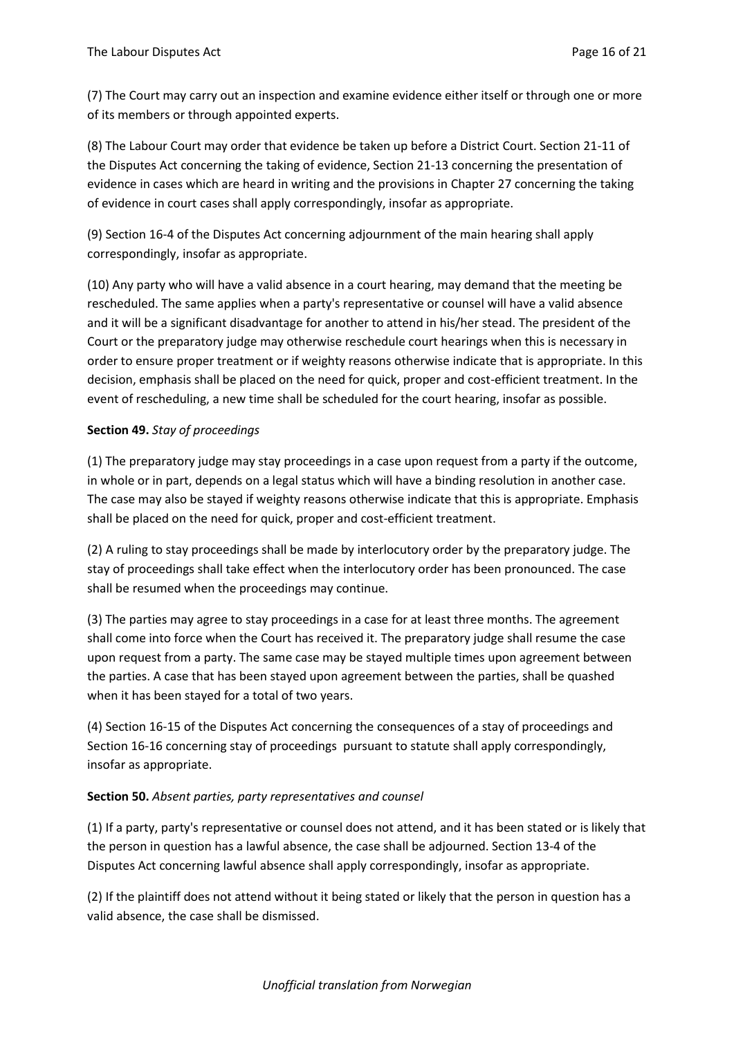(7) The Court may carry out an inspection and examine evidence either itself or through one or more of its members or through appointed experts.

(8) The Labour Court may order that evidence be taken up before a District Court. Section 21-11 of the Disputes Act concerning the taking of evidence, Section 21-13 concerning the presentation of evidence in cases which are heard in writing and the provisions in Chapter 27 concerning the taking of evidence in court cases shall apply correspondingly, insofar as appropriate.

(9) Section 16-4 of the Disputes Act concerning adjournment of the main hearing shall apply correspondingly, insofar as appropriate.

(10) Any party who will have a valid absence in a court hearing, may demand that the meeting be rescheduled. The same applies when a party's representative or counsel will have a valid absence and it will be a significant disadvantage for another to attend in his/her stead. The president of the Court or the preparatory judge may otherwise reschedule court hearings when this is necessary in order to ensure proper treatment or if weighty reasons otherwise indicate that is appropriate. In this decision, emphasis shall be placed on the need for quick, proper and cost-efficient treatment. In the event of rescheduling, a new time shall be scheduled for the court hearing, insofar as possible.

## **Section 49.** *Stay of proceedings*

(1) The preparatory judge may stay proceedings in a case upon request from a party if the outcome, in whole or in part, depends on a legal status which will have a binding resolution in another case. The case may also be stayed if weighty reasons otherwise indicate that this is appropriate. Emphasis shall be placed on the need for quick, proper and cost-efficient treatment.

(2) A ruling to stay proceedings shall be made by interlocutory order by the preparatory judge. The stay of proceedings shall take effect when the interlocutory order has been pronounced. The case shall be resumed when the proceedings may continue.

(3) The parties may agree to stay proceedings in a case for at least three months. The agreement shall come into force when the Court has received it. The preparatory judge shall resume the case upon request from a party. The same case may be stayed multiple times upon agreement between the parties. A case that has been stayed upon agreement between the parties, shall be quashed when it has been stayed for a total of two years.

(4) Section 16-15 of the Disputes Act concerning the consequences of a stay of proceedings and Section 16-16 concerning stay of proceedings pursuant to statute shall apply correspondingly, insofar as appropriate.

### **Section 50.** *Absent parties, party representatives and counsel*

(1) If a party, party's representative or counsel does not attend, and it has been stated or is likely that the person in question has a lawful absence, the case shall be adjourned. Section 13-4 of the Disputes Act concerning lawful absence shall apply correspondingly, insofar as appropriate.

(2) If the plaintiff does not attend without it being stated or likely that the person in question has a valid absence, the case shall be dismissed.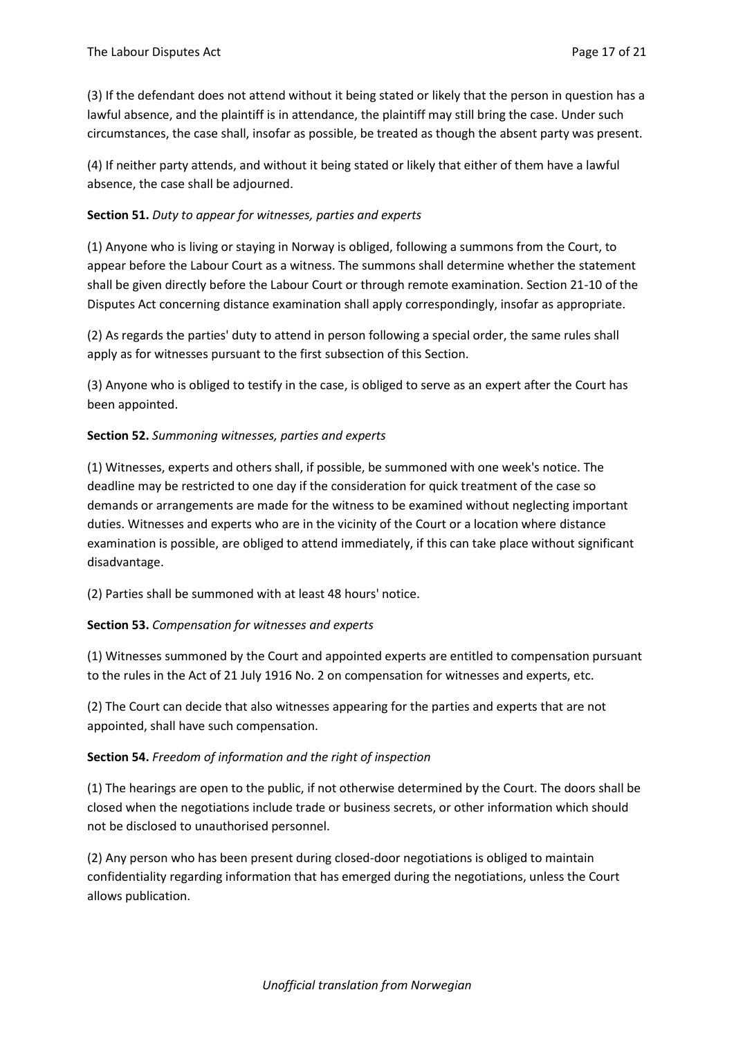(3) If the defendant does not attend without it being stated or likely that the person in question has a lawful absence, and the plaintiff is in attendance, the plaintiff may still bring the case. Under such circumstances, the case shall, insofar as possible, be treated as though the absent party was present.

(4) If neither party attends, and without it being stated or likely that either of them have a lawful absence, the case shall be adjourned.

## **Section 51.** *Duty to appear for witnesses, parties and experts*

(1) Anyone who is living or staying in Norway is obliged, following a summons from the Court, to appear before the Labour Court as a witness. The summons shall determine whether the statement shall be given directly before the Labour Court or through remote examination. Section 21-10 of the Disputes Act concerning distance examination shall apply correspondingly, insofar as appropriate.

(2) As regards the parties' duty to attend in person following a special order, the same rules shall apply as for witnesses pursuant to the first subsection of this Section.

(3) Anyone who is obliged to testify in the case, is obliged to serve as an expert after the Court has been appointed.

### **Section 52.** *Summoning witnesses, parties and experts*

(1) Witnesses, experts and others shall, if possible, be summoned with one week's notice. The deadline may be restricted to one day if the consideration for quick treatment of the case so demands or arrangements are made for the witness to be examined without neglecting important duties. Witnesses and experts who are in the vicinity of the Court or a location where distance examination is possible, are obliged to attend immediately, if this can take place without significant disadvantage.

(2) Parties shall be summoned with at least 48 hours' notice.

### **Section 53.** *Compensation for witnesses and experts*

(1) Witnesses summoned by the Court and appointed experts are entitled to compensation pursuant to the rules in the Act of 21 July 1916 No. 2 on compensation for witnesses and experts, etc.

(2) The Court can decide that also witnesses appearing for the parties and experts that are not appointed, shall have such compensation.

### **Section 54.** *Freedom of information and the right of inspection*

(1) The hearings are open to the public, if not otherwise determined by the Court. The doors shall be closed when the negotiations include trade or business secrets, or other information which should not be disclosed to unauthorised personnel.

(2) Any person who has been present during closed-door negotiations is obliged to maintain confidentiality regarding information that has emerged during the negotiations, unless the Court allows publication.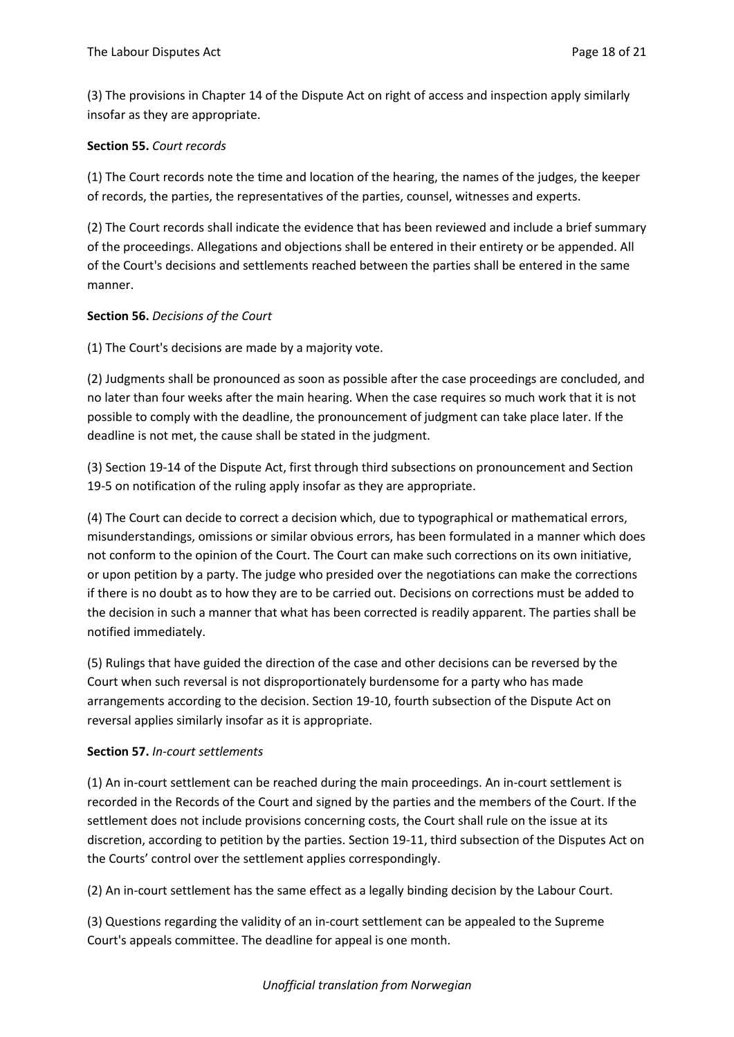(3) The provisions in Chapter 14 of the Dispute Act on right of access and inspection apply similarly insofar as they are appropriate.

## **Section 55.** *Court records*

(1) The Court records note the time and location of the hearing, the names of the judges, the keeper of records, the parties, the representatives of the parties, counsel, witnesses and experts.

(2) The Court records shall indicate the evidence that has been reviewed and include a brief summary of the proceedings. Allegations and objections shall be entered in their entirety or be appended. All of the Court's decisions and settlements reached between the parties shall be entered in the same manner.

## **Section 56.** *Decisions of the Court*

(1) The Court's decisions are made by a majority vote.

(2) Judgments shall be pronounced as soon as possible after the case proceedings are concluded, and no later than four weeks after the main hearing. When the case requires so much work that it is not possible to comply with the deadline, the pronouncement of judgment can take place later. If the deadline is not met, the cause shall be stated in the judgment.

(3) Section 19-14 of the Dispute Act, first through third subsections on pronouncement and Section 19-5 on notification of the ruling apply insofar as they are appropriate.

(4) The Court can decide to correct a decision which, due to typographical or mathematical errors, misunderstandings, omissions or similar obvious errors, has been formulated in a manner which does not conform to the opinion of the Court. The Court can make such corrections on its own initiative, or upon petition by a party. The judge who presided over the negotiations can make the corrections if there is no doubt as to how they are to be carried out. Decisions on corrections must be added to the decision in such a manner that what has been corrected is readily apparent. The parties shall be notified immediately.

(5) Rulings that have guided the direction of the case and other decisions can be reversed by the Court when such reversal is not disproportionately burdensome for a party who has made arrangements according to the decision. Section 19-10, fourth subsection of the Dispute Act on reversal applies similarly insofar as it is appropriate.

### **Section 57.** *In-court settlements*

(1) An in-court settlement can be reached during the main proceedings. An in-court settlement is recorded in the Records of the Court and signed by the parties and the members of the Court. If the settlement does not include provisions concerning costs, the Court shall rule on the issue at its discretion, according to petition by the parties. Section 19-11, third subsection of the Disputes Act on the Courts' control over the settlement applies correspondingly.

(2) An in-court settlement has the same effect as a legally binding decision by the Labour Court.

(3) Questions regarding the validity of an in-court settlement can be appealed to the Supreme Court's appeals committee. The deadline for appeal is one month.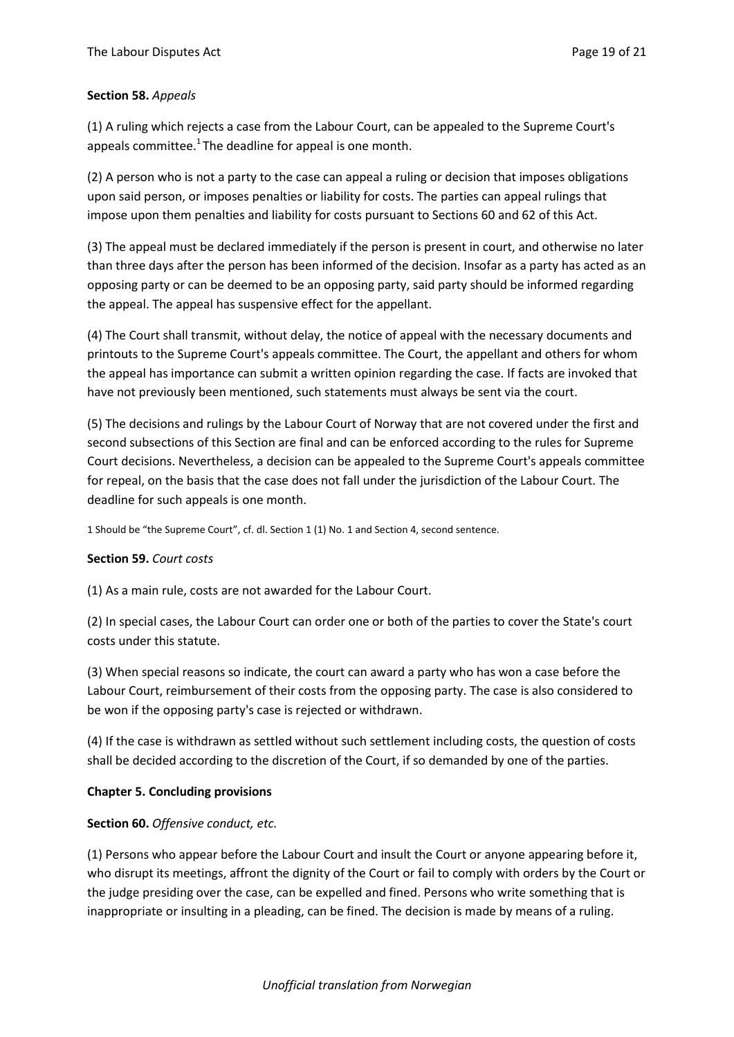### **Section 58.** *Appeals*

(1) A ruling which rejects a case from the Labour Court, can be appealed to the Supreme Court's appeals committee. $1$ The deadline for appeal is one month.

(2) A person who is not a party to the case can appeal a ruling or decision that imposes obligations upon said person, or imposes penalties or liability for costs. The parties can appeal rulings that impose upon them penalties and liability for costs pursuant to Sections 60 and 62 of this Act.

(3) The appeal must be declared immediately if the person is present in court, and otherwise no later than three days after the person has been informed of the decision. Insofar as a party has acted as an opposing party or can be deemed to be an opposing party, said party should be informed regarding the appeal. The appeal has suspensive effect for the appellant.

(4) The Court shall transmit, without delay, the notice of appeal with the necessary documents and printouts to the Supreme Court's appeals committee. The Court, the appellant and others for whom the appeal has importance can submit a written opinion regarding the case. If facts are invoked that have not previously been mentioned, such statements must always be sent via the court.

(5) The decisions and rulings by the Labour Court of Norway that are not covered under the first and second subsections of this Section are final and can be enforced according to the rules for Supreme Court decisions. Nevertheless, a decision can be appealed to the Supreme Court's appeals committee for repeal, on the basis that the case does not fall under the jurisdiction of the Labour Court. The deadline for such appeals is one month.

1 Should be "the Supreme Court", cf. dl. Section 1 (1) No. 1 and Section 4, second sentence.

### **Section 59.** *Court costs*

(1) As a main rule, costs are not awarded for the Labour Court.

(2) In special cases, the Labour Court can order one or both of the parties to cover the State's court costs under this statute.

(3) When special reasons so indicate, the court can award a party who has won a case before the Labour Court, reimbursement of their costs from the opposing party. The case is also considered to be won if the opposing party's case is rejected or withdrawn.

(4) If the case is withdrawn as settled without such settlement including costs, the question of costs shall be decided according to the discretion of the Court, if so demanded by one of the parties.

### **Chapter 5. Concluding provisions**

## **Section 60.** *Offensive conduct, etc.*

(1) Persons who appear before the Labour Court and insult the Court or anyone appearing before it, who disrupt its meetings, affront the dignity of the Court or fail to comply with orders by the Court or the judge presiding over the case, can be expelled and fined. Persons who write something that is inappropriate or insulting in a pleading, can be fined. The decision is made by means of a ruling.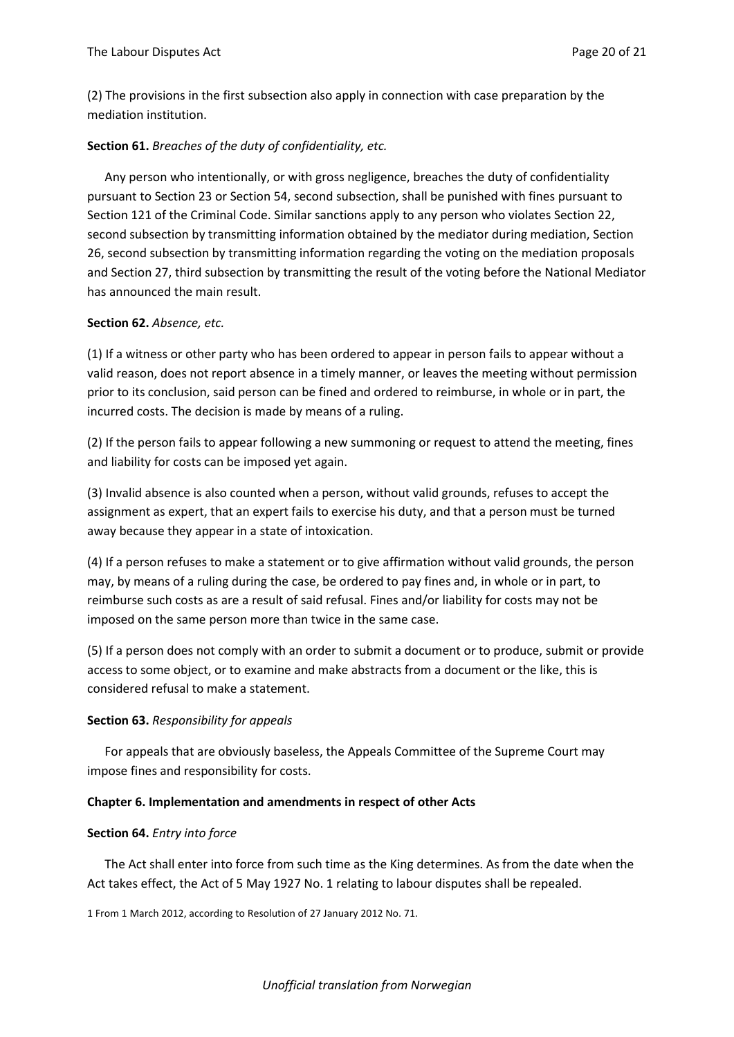(2) The provisions in the first subsection also apply in connection with case preparation by the mediation institution.

#### **Section 61.** *Breaches of the duty of confidentiality, etc.*

Any person who intentionally, or with gross negligence, breaches the duty of confidentiality pursuant to Section 23 or Section 54, second subsection, shall be punished with fines pursuant to Section 121 of the Criminal Code. Similar sanctions apply to any person who violates Section 22, second subsection by transmitting information obtained by the mediator during mediation, Section 26, second subsection by transmitting information regarding the voting on the mediation proposals and Section 27, third subsection by transmitting the result of the voting before the National Mediator has announced the main result.

#### **Section 62.** *Absence, etc.*

(1) If a witness or other party who has been ordered to appear in person fails to appear without a valid reason, does not report absence in a timely manner, or leaves the meeting without permission prior to its conclusion, said person can be fined and ordered to reimburse, in whole or in part, the incurred costs. The decision is made by means of a ruling.

(2) If the person fails to appear following a new summoning or request to attend the meeting, fines and liability for costs can be imposed yet again.

(3) Invalid absence is also counted when a person, without valid grounds, refuses to accept the assignment as expert, that an expert fails to exercise his duty, and that a person must be turned away because they appear in a state of intoxication.

(4) If a person refuses to make a statement or to give affirmation without valid grounds, the person may, by means of a ruling during the case, be ordered to pay fines and, in whole or in part, to reimburse such costs as are a result of said refusal. Fines and/or liability for costs may not be imposed on the same person more than twice in the same case.

(5) If a person does not comply with an order to submit a document or to produce, submit or provide access to some object, or to examine and make abstracts from a document or the like, this is considered refusal to make a statement.

#### **Section 63.** *Responsibility for appeals*

For appeals that are obviously baseless, the Appeals Committee of the Supreme Court may impose fines and responsibility for costs.

#### **Chapter 6. Implementation and amendments in respect of other Acts**

#### **Section 64.** *Entry into force*

The Act shall enter into force from such time as the King determines. As from the date when the Act takes effect, the Act of 5 May 1927 No. 1 relating to labour disputes shall be repealed.

1 From 1 March 2012, according to Resolution of 27 January 2012 No. 71.